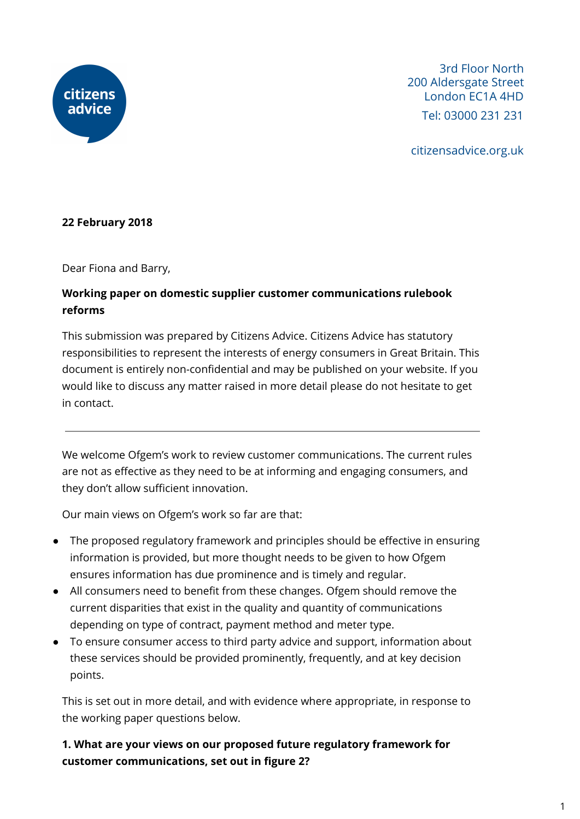

3rd Floor North 200 Aldersgate Street London EC1A 4HD Tel: 03000 231 231

citizensadvice.org.uk

## **22 February 2018**

Dear Fiona and Barry,

# **Working paper on domestic supplier customer communications rulebook reforms**

This submission was prepared by Citizens Advice. Citizens Advice has statutory responsibilities to represent the interests of energy consumers in Great Britain. This document is entirely non-confidential and may be published on your website. If you would like to discuss any matter raised in more detail please do not hesitate to get in contact.

We welcome Ofgem's work to review customer communications. The current rules are not as effective as they need to be at informing and engaging consumers, and they don't allow sufficient innovation.

Our main views on Ofgem's work so far are that:

- The proposed regulatory framework and principles should be effective in ensuring information is provided, but more thought needs to be given to how Ofgem ensures information has due prominence and is timely and regular.
- All consumers need to benefit from these changes. Ofgem should remove the current disparities that exist in the quality and quantity of communications depending on type of contract, payment method and meter type.
- To ensure consumer access to third party advice and support, information about these services should be provided prominently, frequently, and at key decision points.

This is set out in more detail, and with evidence where appropriate, in response to the working paper questions below.

# **1. What are your views on our proposed future regulatory framework for customer communications, set out in figure 2?**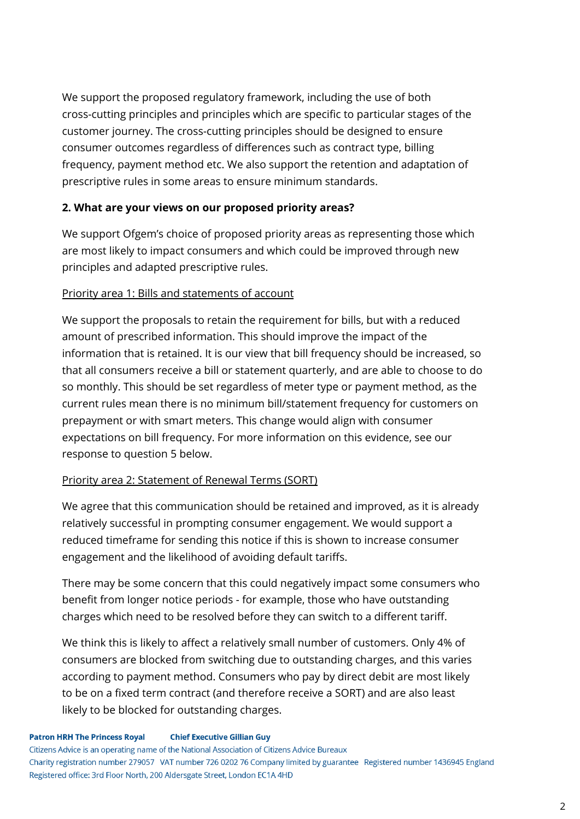We support the proposed regulatory framework, including the use of both cross-cutting principles and principles which are specific to particular stages of the customer journey. The cross-cutting principles should be designed to ensure consumer outcomes regardless of differences such as contract type, billing frequency, payment method etc. We also support the retention and adaptation of prescriptive rules in some areas to ensure minimum standards.

## **2. What are your views on our proposed priority areas?**

We support Ofgem's choice of proposed priority areas as representing those which are most likely to impact consumers and which could be improved through new principles and adapted prescriptive rules.

## Priority area 1: Bills and statements of account

We support the proposals to retain the requirement for bills, but with a reduced amount of prescribed information. This should improve the impact of the information that is retained. It is our view that bill frequency should be increased, so that all consumers receive a bill or statement quarterly, and are able to choose to do so monthly. This should be set regardless of meter type or payment method, as the current rules mean there is no minimum bill/statement frequency for customers on prepayment or with smart meters. This change would align with consumer expectations on bill frequency. For more information on this evidence, see our response to question 5 below.

## Priority area 2: Statement of Renewal Terms (SORT)

We agree that this communication should be retained and improved, as it is already relatively successful in prompting consumer engagement. We would support a reduced timeframe for sending this notice if this is shown to increase consumer engagement and the likelihood of avoiding default tariffs.

There may be some concern that this could negatively impact some consumers who benefit from longer notice periods - for example, those who have outstanding charges which need to be resolved before they can switch to a different tariff.

We think this is likely to affect a relatively small number of customers. Only 4% of consumers are blocked from switching due to outstanding charges, and this varies according to payment method. Consumers who pay by direct debit are most likely to be on a fixed term contract (and therefore receive a SORT) and are also least likely to be blocked for outstanding charges.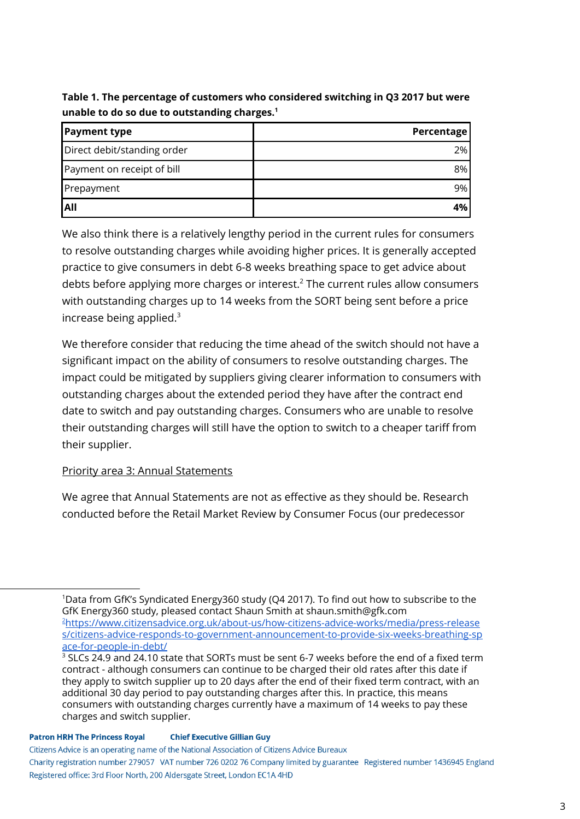**Table 1. The percentage of customers who considered switching in Q3 2017 but were unable to do so due to outstanding charges. 1**

| <b>Payment type</b>         | <b>Percentage</b> |
|-----------------------------|-------------------|
| Direct debit/standing order | 2%                |
| Payment on receipt of bill  | 8%                |
| Prepayment                  | 9%                |
| IAII                        | 4%                |

We also think there is a relatively lengthy period in the current rules for consumers to resolve outstanding charges while avoiding higher prices. It is generally accepted practice to give consumers in debt 6-8 weeks breathing space to get advice about debts before applying more charges or interest.<sup>2</sup> The current rules allow consumers with outstanding charges up to 14 weeks from the SORT being sent before a price increase being applied. 3

We therefore consider that reducing the time ahead of the switch should not have a significant impact on the ability of consumers to resolve outstanding charges. The impact could be mitigated by suppliers giving clearer information to consumers with outstanding charges about the extended period they have after the contract end date to switch and pay outstanding charges. Consumers who are unable to resolve their outstanding charges will still have the option to switch to a cheaper tariff from their supplier.

## Priority area 3: Annual Statements

We agree that Annual Statements are not as effective as they should be. Research conducted before the Retail Market Review by Consumer Focus (our predecessor

<sup>1</sup>Data from GfK's Syndicated Energy360 study (Q4 2017). To find out how to subscribe to the GfK Energy360 study, pleased contact Shaun Smith at shaun.smith@gfk.com <sup>2</sup>[https://www.citizensadvice.org.uk/about-us/how-citizens-advice-works/media/press-release](https://www.citizensadvice.org.uk/about-us/how-citizens-advice-works/media/press-releases/citizens-advice-responds-to-government-announcement-to-provide-six-weeks-breathing-space-for-people-in-debt/) [s/citizens-advice-responds-to-government-announcement-to-provide-six-weeks-breathing-sp](https://www.citizensadvice.org.uk/about-us/how-citizens-advice-works/media/press-releases/citizens-advice-responds-to-government-announcement-to-provide-six-weeks-breathing-space-for-people-in-debt/) [ace-for-people-in-debt/](https://www.citizensadvice.org.uk/about-us/how-citizens-advice-works/media/press-releases/citizens-advice-responds-to-government-announcement-to-provide-six-weeks-breathing-space-for-people-in-debt/)

 $3$  SLCs 24.9 and 24.10 state that SORTs must be sent 6-7 weeks before the end of a fixed term contract - although consumers can continue to be charged their old rates after this date if they apply to switch supplier up to 20 days after the end of their fixed term contract, with an additional 30 day period to pay outstanding charges after this. In practice, this means consumers with outstanding charges currently have a maximum of 14 weeks to pay these charges and switch supplier.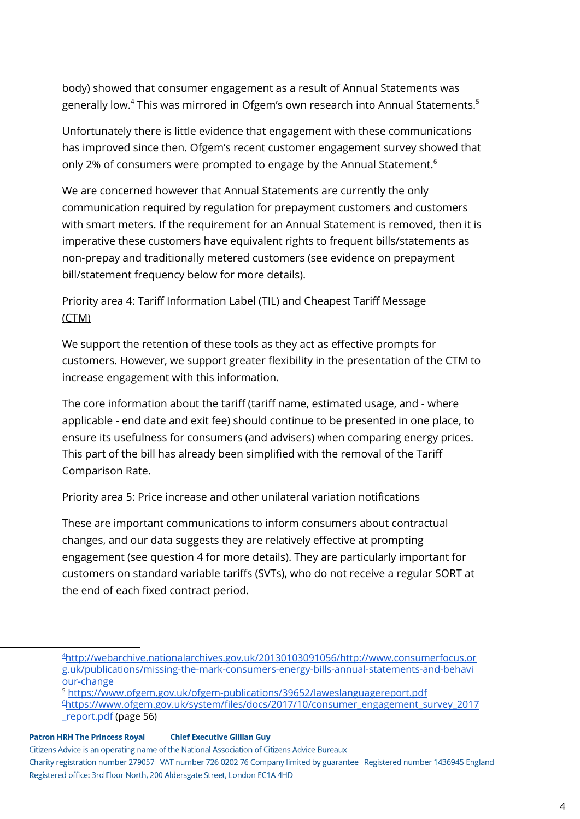body) showed that consumer engagement as a result of Annual Statements was generally low. $^4$  This was mirrored in Ofgem's own research into Annual Statements. $^5$ 

Unfortunately there is little evidence that engagement with these communications has improved since then. Ofgem's recent customer engagement survey showed that only 2% of consumers were prompted to engage by the Annual Statement. 6

We are concerned however that Annual Statements are currently the only communication required by regulation for prepayment customers and customers with smart meters. If the requirement for an Annual Statement is removed, then it is imperative these customers have equivalent rights to frequent bills/statements as non-prepay and traditionally metered customers (see evidence on prepayment bill/statement frequency below for more details).

# Priority area 4: Tariff Information Label (TIL) and Cheapest Tariff Message (CTM)

We support the retention of these tools as they act as effective prompts for customers. However, we support greater flexibility in the presentation of the CTM to increase engagement with this information.

The core information about the tariff (tariff name, estimated usage, and - where applicable - end date and exit fee) should continue to be presented in one place, to ensure its usefulness for consumers (and advisers) when comparing energy prices. This part of the bill has already been simplified with the removal of the Tariff Comparison Rate.

## Priority area 5: Price increase and other unilateral variation notifications

These are important communications to inform consumers about contractual changes, and our data suggests they are relatively effective at prompting engagement (see question 4 for more details). They are particularly important for customers on standard variable tariffs (SVTs), who do not receive a regular SORT at the end of each fixed contract period.

<sup>5</sup> <https://www.ofgem.gov.uk/ofgem-publications/39652/laweslanguagereport.pdf>

<sup>4</sup>[http://webarchive.nationalarchives.gov.uk/20130103091056/http://www.consumerfocus.or](http://webarchive.nationalarchives.gov.uk/20130103091056/http://www.consumerfocus.org.uk/publications/missing-the-mark-consumers-energy-bills-annual-statements-and-behaviour-change) [g.uk/publications/missing-the-mark-consumers-energy-bills-annual-statements-and-behavi](http://webarchive.nationalarchives.gov.uk/20130103091056/http://www.consumerfocus.org.uk/publications/missing-the-mark-consumers-energy-bills-annual-statements-and-behaviour-change) [our-change](http://webarchive.nationalarchives.gov.uk/20130103091056/http://www.consumerfocus.org.uk/publications/missing-the-mark-consumers-energy-bills-annual-statements-and-behaviour-change)

<sup>6</sup>[https://www.ofgem.gov.uk/system/files/docs/2017/10/consumer\\_engagement\\_survey\\_2017](https://www.ofgem.gov.uk/system/files/docs/2017/10/consumer_engagement_survey_2017_report.pdf) [\\_report.pdf](https://www.ofgem.gov.uk/system/files/docs/2017/10/consumer_engagement_survey_2017_report.pdf) (page 56)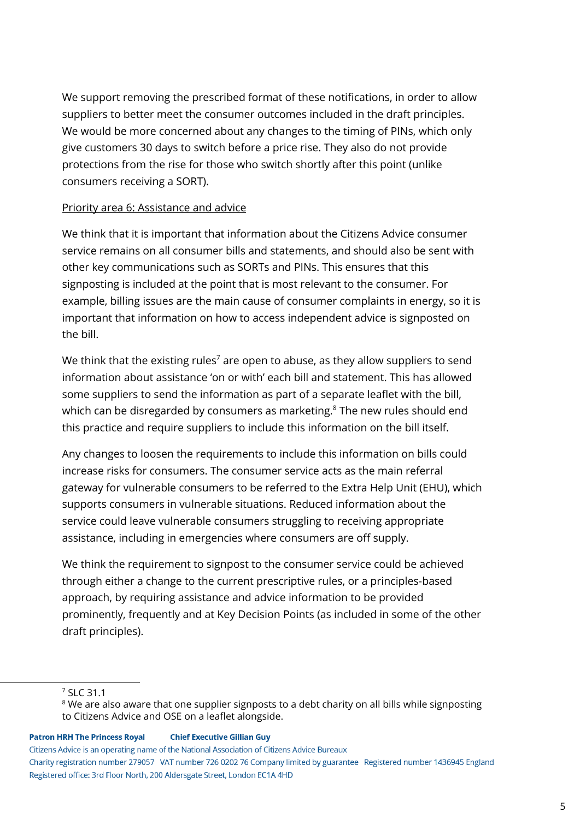We support removing the prescribed format of these notifications, in order to allow suppliers to better meet the consumer outcomes included in the draft principles. We would be more concerned about any changes to the timing of PINs, which only give customers 30 days to switch before a price rise. They also do not provide protections from the rise for those who switch shortly after this point (unlike consumers receiving a SORT).

## Priority area 6: Assistance and advice

We think that it is important that information about the Citizens Advice consumer service remains on all consumer bills and statements, and should also be sent with other key communications such as SORTs and PINs. This ensures that this signposting is included at the point that is most relevant to the consumer. For example, billing issues are the main cause of consumer complaints in energy, so it is important that information on how to access independent advice is signposted on the bill.

We think that the existing rules $^7$  are open to abuse, as they allow suppliers to send information about assistance 'on or with' each bill and statement. This has allowed some suppliers to send the information as part of a separate leaflet with the bill, which can be disregarded by consumers as marketing. $8$  The new rules should end this practice and require suppliers to include this information on the bill itself.

Any changes to loosen the requirements to include this information on bills could increase risks for consumers. The consumer service acts as the main referral gateway for vulnerable consumers to be referred to the Extra Help Unit (EHU), which supports consumers in vulnerable situations. Reduced information about the service could leave vulnerable consumers struggling to receiving appropriate assistance, including in emergencies where consumers are off supply.

We think the requirement to signpost to the consumer service could be achieved through either a change to the current prescriptive rules, or a principles-based approach, by requiring assistance and advice information to be provided prominently, frequently and at Key Decision Points (as included in some of the other draft principles).

#### **Patron HRH The Princess Royal**

#### **Chief Executive Gillian Guy**

<sup>7</sup> SLC 31.1

<sup>&</sup>lt;sup>8</sup> We are also aware that one supplier signposts to a debt charity on all bills while signposting to Citizens Advice and OSE on a leaflet alongside.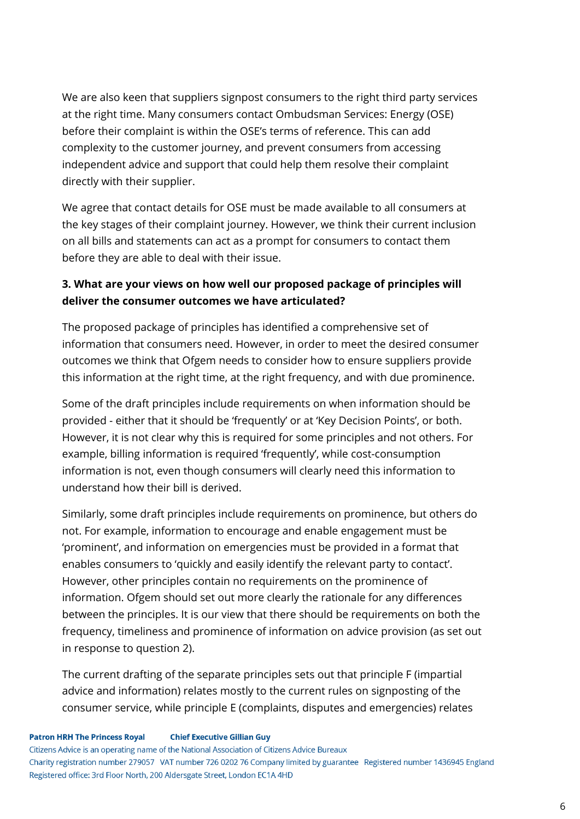We are also keen that suppliers signpost consumers to the right third party services at the right time. Many consumers contact Ombudsman Services: Energy (OSE) before their complaint is within the OSE's terms of reference. This can add complexity to the customer journey, and prevent consumers from accessing independent advice and support that could help them resolve their complaint directly with their supplier.

We agree that contact details for OSE must be made available to all consumers at the key stages of their complaint journey. However, we think their current inclusion on all bills and statements can act as a prompt for consumers to contact them before they are able to deal with their issue.

# **3. What are your views on how well our proposed package of principles will deliver the consumer outcomes we have articulated?**

The proposed package of principles has identified a comprehensive set of information that consumers need. However, in order to meet the desired consumer outcomes we think that Ofgem needs to consider how to ensure suppliers provide this information at the right time, at the right frequency, and with due prominence.

Some of the draft principles include requirements on when information should be provided - either that it should be 'frequently' or at 'Key Decision Points', or both. However, it is not clear why this is required for some principles and not others. For example, billing information is required 'frequently', while cost-consumption information is not, even though consumers will clearly need this information to understand how their bill is derived.

Similarly, some draft principles include requirements on prominence, but others do not. For example, information to encourage and enable engagement must be 'prominent', and information on emergencies must be provided in a format that enables consumers to 'quickly and easily identify the relevant party to contact'. However, other principles contain no requirements on the prominence of information. Ofgem should set out more clearly the rationale for any differences between the principles. It is our view that there should be requirements on both the frequency, timeliness and prominence of information on advice provision (as set out in response to question 2).

The current drafting of the separate principles sets out that principle F (impartial advice and information) relates mostly to the current rules on signposting of the consumer service, while principle E (complaints, disputes and emergencies) relates

#### **Patron HRH The Princess Royal Chief Executive Gillian Guy**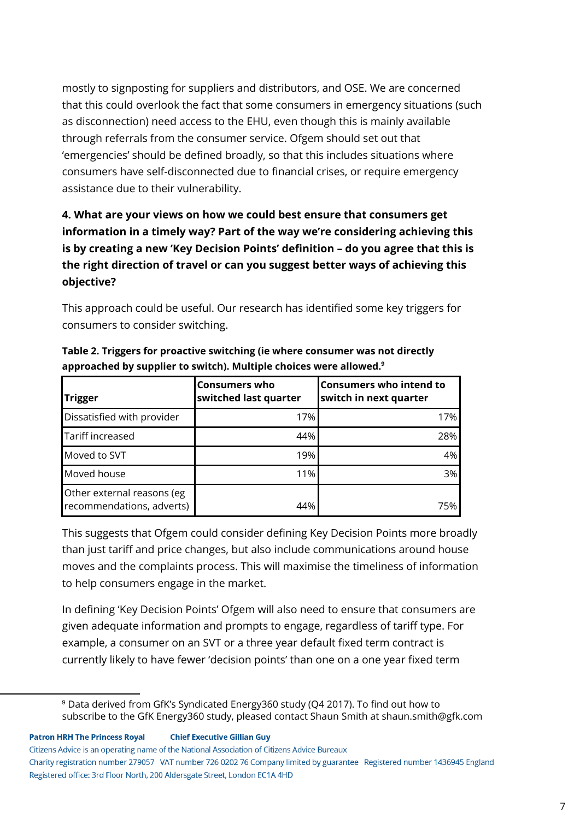mostly to signposting for suppliers and distributors, and OSE. We are concerned that this could overlook the fact that some consumers in emergency situations (such as disconnection) need access to the EHU, even though this is mainly available through referrals from the consumer service. Ofgem should set out that 'emergencies' should be defined broadly, so that this includes situations where consumers have self-disconnected due to financial crises, or require emergency assistance due to their vulnerability.

# **4. What are your views on how we could best ensure that consumers get information in a timely way? Part of the way we're considering achieving this is by creating a new 'Key Decision Points' definition – do you agree that this is the right direction of travel or can you suggest better ways of achieving this objective?**

This approach could be useful. Our research has identified some key triggers for consumers to consider switching.

| Trigger                                                 | <b>Consumers who</b><br>switched last quarter | <b>Consumers who intend to</b><br>switch in next quarter |
|---------------------------------------------------------|-----------------------------------------------|----------------------------------------------------------|
| Dissatisfied with provider                              | 17%                                           | 17%                                                      |
| Tariff increased                                        | 44%                                           | 28%                                                      |
| Moved to SVT                                            | 19%                                           | 4%                                                       |
| Moved house                                             | 11%                                           | 3%                                                       |
| Other external reasons (eg<br>recommendations, adverts) | 44%                                           | 75%                                                      |

**Table 2. Triggers for proactive switching (ie where consumer was not directly approached by supplier to switch). Multiple choices were allowed. 9**

This suggests that Ofgem could consider defining Key Decision Points more broadly than just tariff and price changes, but also include communications around house moves and the complaints process. This will maximise the timeliness of information to help consumers engage in the market.

In defining 'Key Decision Points' Ofgem will also need to ensure that consumers are given adequate information and prompts to engage, regardless of tariff type. For example, a consumer on an SVT or a three year default fixed term contract is currently likely to have fewer 'decision points' than one on a one year fixed term

<sup>&</sup>lt;sup>9</sup> Data derived from GfK's Syndicated Energy360 study (Q4 2017). To find out how to subscribe to the GfK Energy360 study, pleased contact Shaun Smith at shaun.smith@gfk.com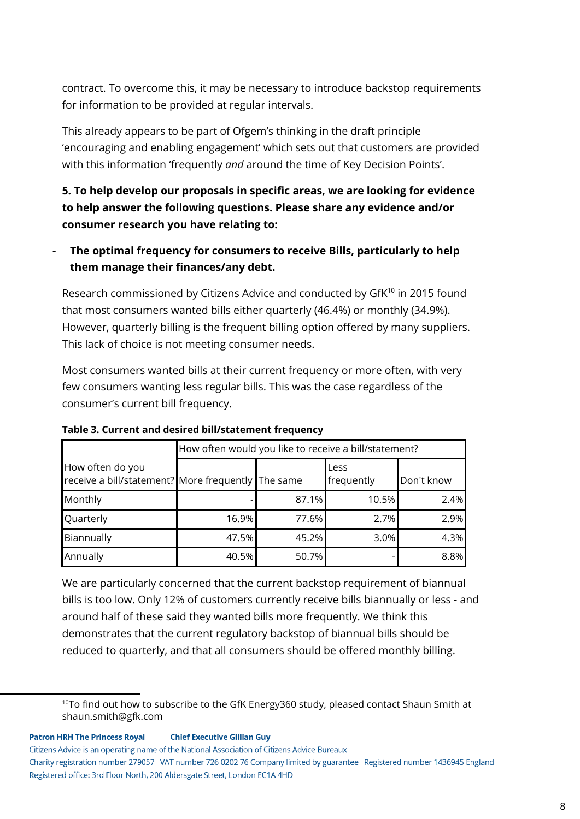contract. To overcome this, it may be necessary to introduce backstop requirements for information to be provided at regular intervals.

This already appears to be part of Ofgem's thinking in the draft principle 'encouraging and enabling engagement' which sets out that customers are provided with this information 'frequently *and* around the time of Key Decision Points'.

**5. To help develop our proposals in specific areas, we are looking for evidence to help answer the following questions. Please share any evidence and/or consumer research you have relating to:**

**- The optimal frequency for consumers to receive Bills, particularly to help them manage their finances/any debt.**

Research commissioned by Citizens Advice and conducted by  $GfK^{10}$  in 2015 found that most consumers wanted bills either quarterly (46.4%) or monthly (34.9%). However, quarterly billing is the frequent billing option offered by many suppliers. This lack of choice is not meeting consumer needs.

Most consumers wanted bills at their current frequency or more often, with very few consumers wanting less regular bills. This was the case regardless of the consumer's current bill frequency.

|                                                                        | How often would you like to receive a bill/statement? |       |                    |            |
|------------------------------------------------------------------------|-------------------------------------------------------|-------|--------------------|------------|
| How often do you<br>receive a bill/statement? More frequently The same |                                                       |       | Less<br>frequently | Don't know |
| Monthly                                                                |                                                       | 87.1% | 10.5%              | 2.4%       |
| Quarterly                                                              | 16.9%                                                 | 77.6% | 2.7%               | 2.9%       |
| Biannually                                                             | 47.5%                                                 | 45.2% | 3.0%               | 4.3%       |
| Annually                                                               | 40.5%                                                 | 50.7% |                    | 8.8%       |

**Table 3. Current and desired bill/statement frequency**

We are particularly concerned that the current backstop requirement of biannual bills is too low. Only 12% of customers currently receive bills biannually or less - and around half of these said they wanted bills more frequently. We think this demonstrates that the current regulatory backstop of biannual bills should be reduced to quarterly, and that all consumers should be offered monthly billing.

 $10$ To find out how to subscribe to the GfK Energy360 study, pleased contact Shaun Smith at shaun.smith@gfk.com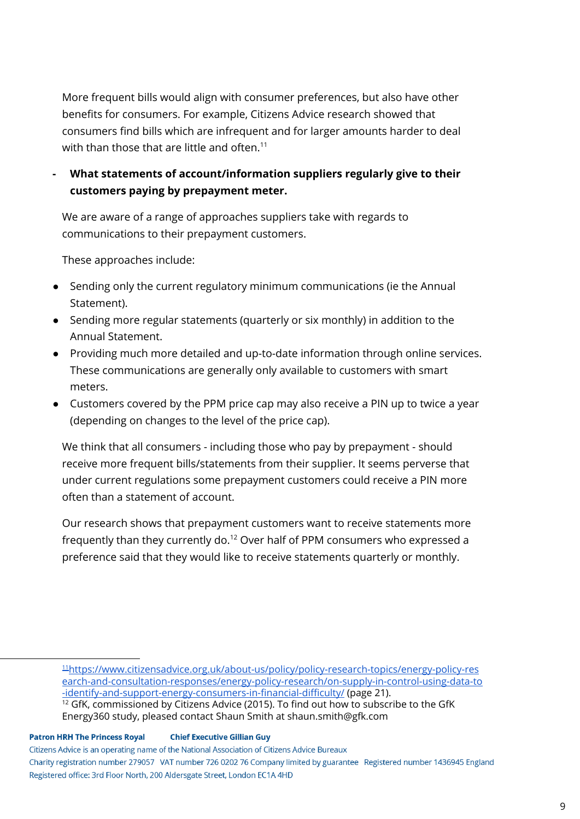More frequent bills would align with consumer preferences, but also have other benefits for consumers. For example, Citizens Advice research showed that consumers find bills which are infrequent and for larger amounts harder to deal with than those that are little and often. $^{\rm 11}$ 

# **- What statements of account/information suppliers regularly give to their customers paying by prepayment meter.**

We are aware of a range of approaches suppliers take with regards to communications to their prepayment customers.

These approaches include:

- Sending only the current regulatory minimum communications (ie the Annual Statement).
- Sending more regular statements (quarterly or six monthly) in addition to the Annual Statement.
- Providing much more detailed and up-to-date information through online services. These communications are generally only available to customers with smart meters.
- Customers covered by the PPM price cap may also receive a PIN up to twice a year (depending on changes to the level of the price cap).

We think that all consumers - including those who pay by prepayment - should receive more frequent bills/statements from their supplier. It seems perverse that under current regulations some prepayment customers could receive a PIN more often than a statement of account.

Our research shows that prepayment customers want to receive statements more frequently than they currently do. $^{12}$  Over half of PPM consumers who expressed a preference said that they would like to receive statements quarterly or monthly.

<sup>11</sup>[https://www.citizensadvice.org.uk/about-us/policy/policy-research-topics/energy-policy-res](https://www.citizensadvice.org.uk/about-us/policy/policy-research-topics/energy-policy-research-and-consultation-responses/energy-policy-research/on-supply-in-control-using-data-to-identify-and-support-energy-consumers-in-financial-difficulty/) [earch-and-consultation-responses/energy-policy-research/on-supply-in-control-using-data-to](https://www.citizensadvice.org.uk/about-us/policy/policy-research-topics/energy-policy-research-and-consultation-responses/energy-policy-research/on-supply-in-control-using-data-to-identify-and-support-energy-consumers-in-financial-difficulty/) [-identify-and-support-energy-consumers-in-financial-difficulty/](https://www.citizensadvice.org.uk/about-us/policy/policy-research-topics/energy-policy-research-and-consultation-responses/energy-policy-research/on-supply-in-control-using-data-to-identify-and-support-energy-consumers-in-financial-difficulty/) (page 21). <sup>12</sup> GfK, commissioned by Citizens Advice (2015). To find out how to subscribe to the GfK Energy360 study, pleased contact Shaun Smith at shaun.smith@gfk.com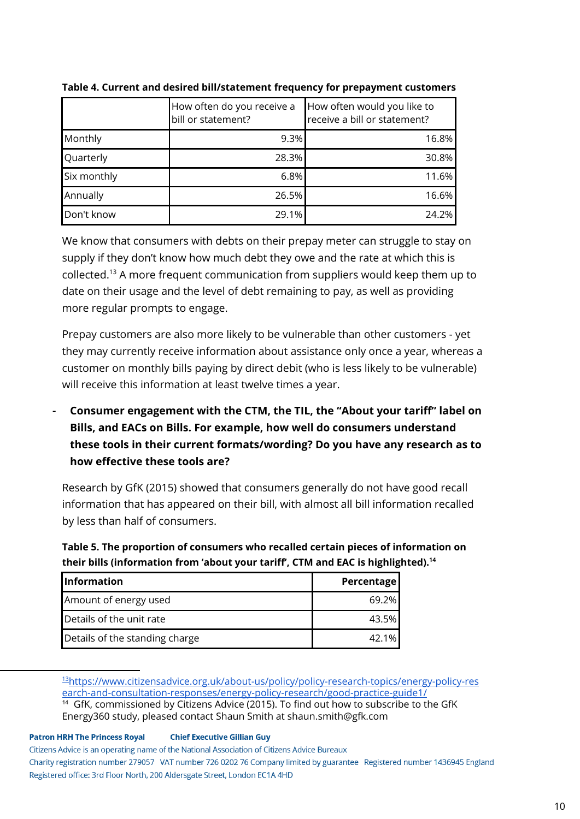|             | How often do you receive a<br>bill or statement? | How often would you like to<br>receive a bill or statement? |
|-------------|--------------------------------------------------|-------------------------------------------------------------|
| Monthly     | 9.3%                                             | 16.8%                                                       |
| Quarterly   | 28.3%                                            | 30.8%                                                       |
| Six monthly | 6.8%                                             | 11.6%                                                       |
| Annually    | 26.5%                                            | 16.6%                                                       |
| Don't know  | 29.1%                                            | 24.2%                                                       |

**Table 4. Current and desired bill/statement frequency for prepayment customers**

We know that consumers with debts on their prepay meter can struggle to stay on supply if they don't know how much debt they owe and the rate at which this is collected.<sup>13</sup> A more frequent communication from suppliers would keep them up to date on their usage and the level of debt remaining to pay, as well as providing more regular prompts to engage.

Prepay customers are also more likely to be vulnerable than other customers - yet they may currently receive information about assistance only once a year, whereas a customer on monthly bills paying by direct debit (who is less likely to be vulnerable) will receive this information at least twelve times a year.

**- Consumer engagement with the CTM, the TIL, the "About your tariff" label on Bills, and EACs on Bills. For example, how well do consumers understand these tools in their current formats/wording? Do you have any research as to how effective these tools are?**

Research by GfK (2015) showed that consumers generally do not have good recall information that has appeared on their bill, with almost all bill information recalled by less than half of consumers.

**Table 5. The proportion of consumers who recalled certain pieces of information on their bills (information from 'about your tariff', CTM and EAC is highlighted). 14**

| <b>Information</b>             | <b>Percentage</b> |
|--------------------------------|-------------------|
| Amount of energy used          | 69.2%             |
| Details of the unit rate       | 43.5%             |
| Details of the standing charge | 42.1%             |

<sup>13</sup>[https://www.citizensadvice.org.uk/about-us/policy/policy-research-topics/energy-policy-res](https://www.citizensadvice.org.uk/about-us/policy/policy-research-topics/energy-policy-research-and-consultation-responses/energy-policy-research/good-practice-guide1/) [earch-and-consultation-responses/energy-policy-research/good-practice-guide1/](https://www.citizensadvice.org.uk/about-us/policy/policy-research-topics/energy-policy-research-and-consultation-responses/energy-policy-research/good-practice-guide1/) <sup>14</sup> GfK, commissioned by Citizens Advice (2015). To find out how to subscribe to the GfK

Energy360 study, pleased contact Shaun Smith at shaun.smith@gfk.com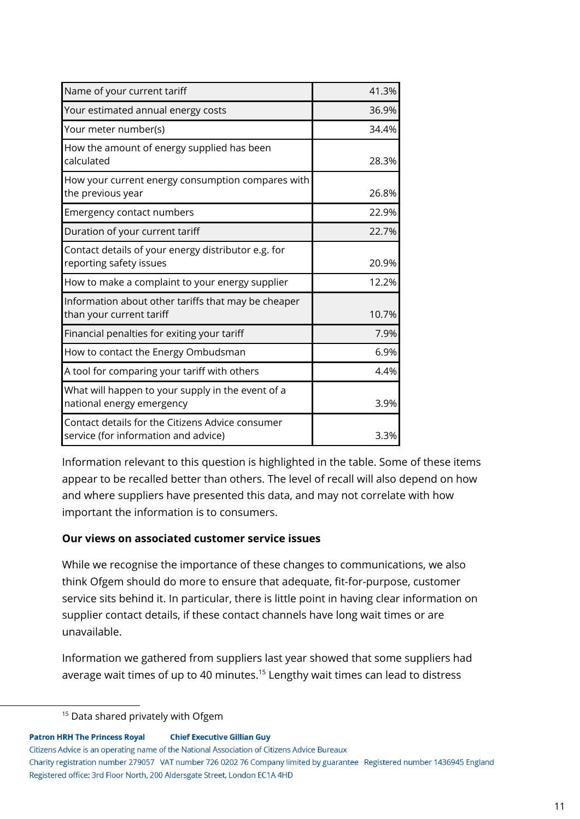| Name of your current tariff                                                              | 41.3% |
|------------------------------------------------------------------------------------------|-------|
| Your estimated annual energy costs                                                       | 36.9% |
| Your meter number(s)                                                                     | 34.4% |
| How the amount of energy supplied has been<br>calculated                                 | 28.3% |
| How your current energy consumption compares with<br>the previous year                   | 26.8% |
| Emergency contact numbers                                                                | 22.9% |
| Duration of your current tariff                                                          | 22.7% |
| Contact details of your energy distributor e.g. for<br>reporting safety issues           | 20.9% |
| How to make a complaint to your energy supplier                                          | 12.2% |
| Information about other tariffs that may be cheaper<br>than your current tariff          | 10.7% |
| Financial penalties for exiting your tariff                                              | 7.9%  |
| How to contact the Energy Ombudsman                                                      | 6.9%  |
| A tool for comparing your tariff with others                                             | 4.4%  |
| What will happen to your supply in the event of a<br>national energy emergency           | 3.9%  |
| Contact details for the Citizens Advice consumer<br>service (for information and advice) | 3.3%  |

Information relevant to this question is highlighted in the table. Some of these items appear to be recalled better than others. The level of recall will also depend on how and where suppliers have presented this data, and may not correlate with how important the information is to consumers.

## **Our views on associated customer service issues**

While we recognise the importance of these changes to communications, we also think Ofgem should do more to ensure that adequate, fit-for-purpose, customer service sits behind it. In particular, there is little point in having clear information on supplier contact details, if these contact channels have long wait times or are unavailable.

Information we gathered from suppliers last year showed that some suppliers had average wait times of up to 40 minutes.<sup>15</sup> Lengthy wait times can lead to distress

**Patron HRH The Princess Royal Chief Executive Gillian Guy** 

Citizens Advice is an operating name of the National Association of Citizens Advice Bureaux

Charity registration number 279057 VAT number 726 0202 76 Company limited by guarantee Registered number 1436945 England Registered office: 3rd Floor North, 200 Aldersgate Street, London EC1A 4HD

<sup>&</sup>lt;sup>15</sup> Data shared privately with Ofgem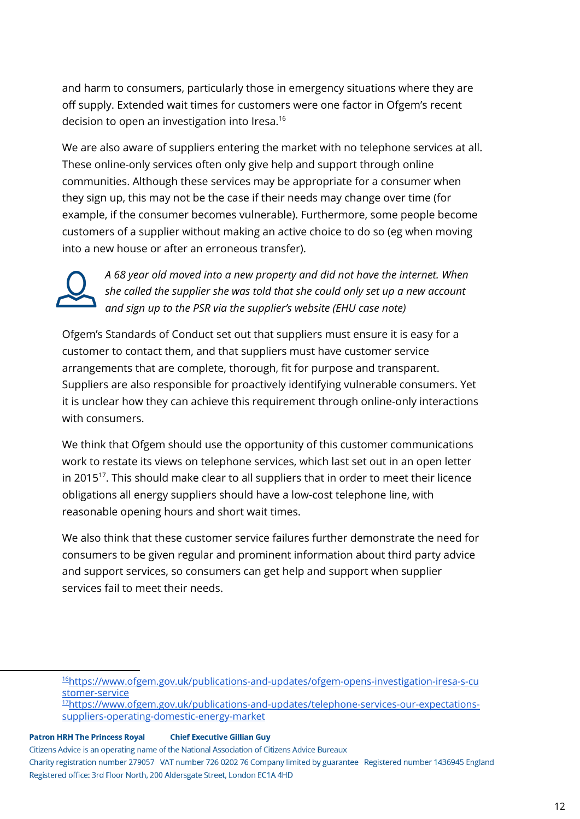and harm to consumers, particularly those in emergency situations where they are off supply. Extended wait times for customers were one factor in Ofgem's recent decision to open an investigation into Iresa. 16

We are also aware of suppliers entering the market with no telephone services at all. These online-only services often only give help and support through online communities. Although these services may be appropriate for a consumer when they sign up, this may not be the case if their needs may change over time (for example, if the consumer becomes vulnerable). Furthermore, some people become customers of a supplier without making an active choice to do so (eg when moving into a new house or after an erroneous transfer).



*A 68 year old moved into a new property and did not have the internet. When she called the supplier she was told that she could only set up a new account and sign up to the PSR via the supplier's website (EHU case note)*

Ofgem's Standards of Conduct set out that suppliers must ensure it is easy for a customer to contact them, and that suppliers must have customer service arrangements that are complete, thorough, fit for purpose and transparent. Suppliers are also responsible for proactively identifying vulnerable consumers. Yet it is unclear how they can achieve this requirement through online-only interactions with consumers.

We think that Ofgem should use the opportunity of this customer communications work to restate its views on telephone services, which last set out in an open letter in 2015 $^{17}$ . This should make clear to all suppliers that in order to meet their licence obligations all energy suppliers should have a low-cost telephone line, with reasonable opening hours and short wait times.

We also think that these customer service failures further demonstrate the need for consumers to be given regular and prominent information about third party advice and support services, so consumers can get help and support when supplier services fail to meet their needs.

<sup>17</sup>[https://www.ofgem.gov.uk/publications-and-updates/telephone-services-our-expectations](https://www.ofgem.gov.uk/publications-and-updates/telephone-services-our-expectations-suppliers-operating-domestic-energy-market)[suppliers-operating-domestic-energy-market](https://www.ofgem.gov.uk/publications-and-updates/telephone-services-our-expectations-suppliers-operating-domestic-energy-market)

<sup>16</sup>[https://www.ofgem.gov.uk/publications-and-updates/ofgem-opens-investigation-iresa-s-cu](https://www.ofgem.gov.uk/publications-and-updates/ofgem-opens-investigation-iresa-s-customer-service) [stomer-service](https://www.ofgem.gov.uk/publications-and-updates/ofgem-opens-investigation-iresa-s-customer-service)